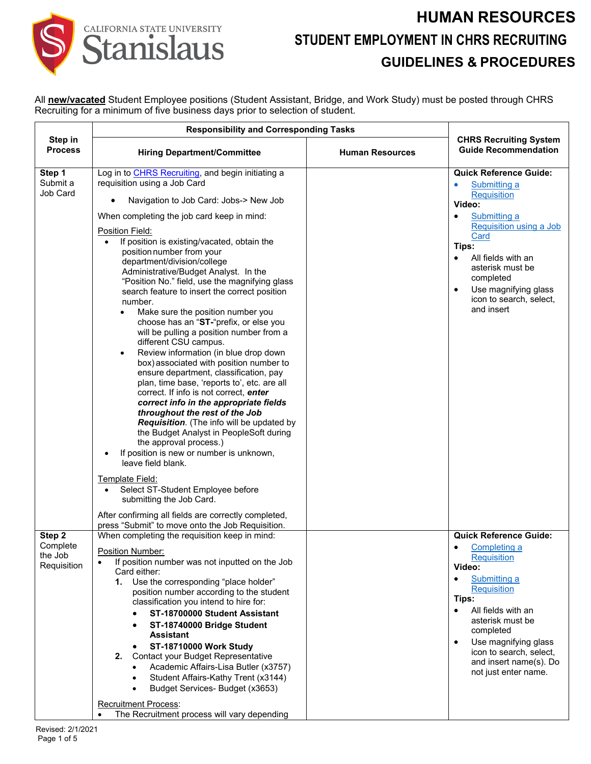# CALIFORNIA STATE UNIVERSITY Stanislaus

### **HUMAN RESOURCES STUDENT EMPLOYMENT IN CHRS RECRUITING GUIDELINES & PROCEDURES**

All **new/vacated** Student Employee positions (Student Assistant, Bridge, and Work Study) must be posted through CHRS Recruiting for a minimum of five business days prior to selection of student.

|                                              | <b>Responsibility and Corresponding Tasks</b>                                                                                                                                                                                                                                                                                                                                                                                                                                                                                                                                                                                                                                                                                                                                                                                                                                                                                                                                                                                                                                                                                                                                                                                                                                                                                                                        |                        |                                                                                                                                                                                                                                                                                                                           |
|----------------------------------------------|----------------------------------------------------------------------------------------------------------------------------------------------------------------------------------------------------------------------------------------------------------------------------------------------------------------------------------------------------------------------------------------------------------------------------------------------------------------------------------------------------------------------------------------------------------------------------------------------------------------------------------------------------------------------------------------------------------------------------------------------------------------------------------------------------------------------------------------------------------------------------------------------------------------------------------------------------------------------------------------------------------------------------------------------------------------------------------------------------------------------------------------------------------------------------------------------------------------------------------------------------------------------------------------------------------------------------------------------------------------------|------------------------|---------------------------------------------------------------------------------------------------------------------------------------------------------------------------------------------------------------------------------------------------------------------------------------------------------------------------|
| Step in<br><b>Process</b>                    | <b>Hiring Department/Committee</b>                                                                                                                                                                                                                                                                                                                                                                                                                                                                                                                                                                                                                                                                                                                                                                                                                                                                                                                                                                                                                                                                                                                                                                                                                                                                                                                                   | <b>Human Resources</b> | <b>CHRS Recruiting System</b><br><b>Guide Recommendation</b>                                                                                                                                                                                                                                                              |
| Step 1<br>Submit a<br>Job Card               | Log in to CHRS Recruiting, and begin initiating a<br>requisition using a Job Card<br>Navigation to Job Card: Jobs-> New Job<br>When completing the job card keep in mind:<br>Position Field:<br>If position is existing/vacated, obtain the<br>position number from your<br>department/division/college<br>Administrative/Budget Analyst. In the<br>"Position No." field, use the magnifying glass<br>search feature to insert the correct position<br>number.<br>Make sure the position number you<br>$\bullet$<br>choose has an "ST-"prefix, or else you<br>will be pulling a position number from a<br>different CSU campus.<br>Review information (in blue drop down<br>$\bullet$<br>box) associated with position number to<br>ensure department, classification, pay<br>plan, time base, 'reports to', etc. are all<br>correct. If info is not correct, enter<br>correct info in the appropriate fields<br>throughout the rest of the Job<br>Requisition. (The info will be updated by<br>the Budget Analyst in PeopleSoft during<br>the approval process.)<br>If position is new or number is unknown,<br>$\bullet$<br>leave field blank.<br><b>Template Field:</b><br>Select ST-Student Employee before<br>$\bullet$<br>submitting the Job Card.<br>After confirming all fields are correctly completed,<br>press "Submit" to move onto the Job Requisition. |                        | <b>Quick Reference Guide:</b><br>Submitting a<br>Requisition<br>Video:<br>Submitting a<br>٠<br>Requisition using a Job<br>Card<br>Tips:<br>All fields with an<br>$\bullet$<br>asterisk must be<br>completed<br>Use magnifying glass<br>icon to search, select,<br>and insert                                              |
| Step 2<br>Complete<br>the Job<br>Requisition | When completing the requisition keep in mind:<br>Position Number:<br>If position number was not inputted on the Job<br>$\bullet$<br>Card either:<br>1. Use the corresponding "place holder"<br>position number according to the student<br>classification you intend to hire for:<br>ST-18700000 Student Assistant<br>ST-18740000 Bridge Student<br><b>Assistant</b><br><b>ST-18710000 Work Study</b><br>Contact your Budget Representative<br>2.<br>Academic Affairs-Lisa Butler (x3757)<br>Student Affairs-Kathy Trent (x3144)<br>Budget Services- Budget (x3653)<br><b>Recruitment Process:</b><br>The Recruitment process will vary depending                                                                                                                                                                                                                                                                                                                                                                                                                                                                                                                                                                                                                                                                                                                    |                        | <b>Quick Reference Guide:</b><br>Completing a<br>$\bullet$<br><b>Requisition</b><br>Video:<br><b>Submitting a</b><br><b>Requisition</b><br>Tips:<br>All fields with an<br>$\bullet$<br>asterisk must be<br>completed<br>Use magnifying glass<br>icon to search, select,<br>and insert name(s). Do<br>not just enter name. |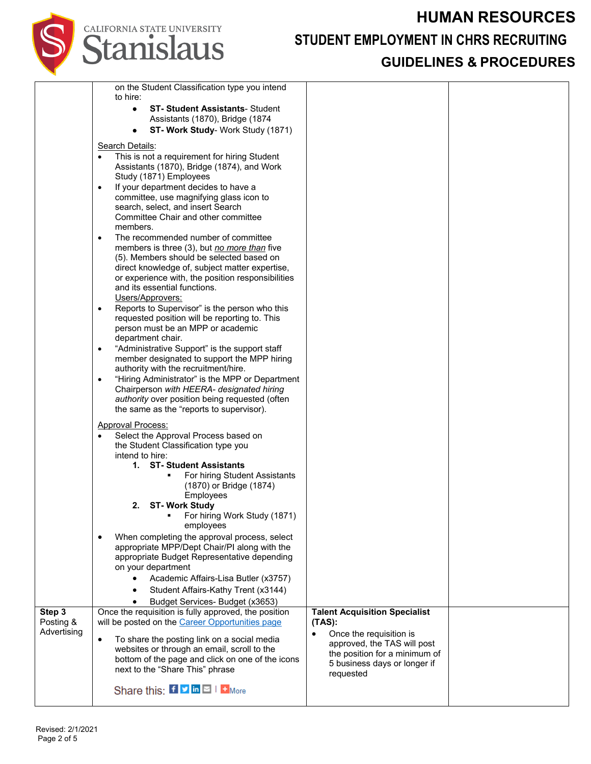#### **HUMAN RESOURCES**

# CALIFORNIA STATE UNIVERSITY

#### **STUDENT EMPLOYMENT IN CHRS RECRUITING**

#### **GUIDELINES & PROCEDURES**

|             | on the Student Classification type you intend                                                             |                                                              |  |
|-------------|-----------------------------------------------------------------------------------------------------------|--------------------------------------------------------------|--|
|             | to hire:                                                                                                  |                                                              |  |
|             | <b>ST- Student Assistants- Student</b><br>$\bullet$<br>Assistants (1870), Bridge (1874                    |                                                              |  |
|             | <b>ST- Work Study- Work Study (1871)</b><br>٠                                                             |                                                              |  |
|             |                                                                                                           |                                                              |  |
|             | Search Details:<br>This is not a requirement for hiring Student                                           |                                                              |  |
|             | Assistants (1870), Bridge (1874), and Work                                                                |                                                              |  |
|             | Study (1871) Employees                                                                                    |                                                              |  |
|             | If your department decides to have a<br>$\bullet$                                                         |                                                              |  |
|             | committee, use magnifying glass icon to                                                                   |                                                              |  |
|             | search, select, and insert Search<br>Committee Chair and other committee                                  |                                                              |  |
|             | members.                                                                                                  |                                                              |  |
|             | The recommended number of committee<br>$\bullet$                                                          |                                                              |  |
|             | members is three (3), but no more than five                                                               |                                                              |  |
|             | (5). Members should be selected based on                                                                  |                                                              |  |
|             | direct knowledge of, subject matter expertise,<br>or experience with, the position responsibilities       |                                                              |  |
|             | and its essential functions.                                                                              |                                                              |  |
|             | Users/Approvers:                                                                                          |                                                              |  |
|             | Reports to Supervisor" is the person who this<br>$\bullet$                                                |                                                              |  |
|             | requested position will be reporting to. This<br>person must be an MPP or academic                        |                                                              |  |
|             | department chair.                                                                                         |                                                              |  |
|             | "Administrative Support" is the support staff<br>$\bullet$                                                |                                                              |  |
|             | member designated to support the MPP hiring                                                               |                                                              |  |
|             | authority with the recruitment/hire.                                                                      |                                                              |  |
|             | "Hiring Administrator" is the MPP or Department<br>$\bullet$<br>Chairperson with HEERA- designated hiring |                                                              |  |
|             | authority over position being requested (often                                                            |                                                              |  |
|             | the same as the "reports to supervisor).                                                                  |                                                              |  |
|             | <b>Approval Process:</b>                                                                                  |                                                              |  |
|             | Select the Approval Process based on                                                                      |                                                              |  |
|             | the Student Classification type you                                                                       |                                                              |  |
|             | intend to hire:<br>1. ST-Student Assistants                                                               |                                                              |  |
|             | For hiring Student Assistants                                                                             |                                                              |  |
|             | (1870) or Bridge (1874)                                                                                   |                                                              |  |
|             | Employees                                                                                                 |                                                              |  |
|             | 2. ST-Work Study<br>For hiring Work Study (1871)                                                          |                                                              |  |
|             | employees                                                                                                 |                                                              |  |
|             | When completing the approval process, select<br>$\bullet$                                                 |                                                              |  |
|             | appropriate MPP/Dept Chair/PI along with the                                                              |                                                              |  |
|             | appropriate Budget Representative depending<br>on your department                                         |                                                              |  |
|             | Academic Affairs-Lisa Butler (x3757)                                                                      |                                                              |  |
|             | Student Affairs-Kathy Trent (x3144)                                                                       |                                                              |  |
|             | Budget Services- Budget (x3653)                                                                           |                                                              |  |
| Step 3      | Once the requisition is fully approved, the position                                                      | <b>Talent Acquisition Specialist</b>                         |  |
| Posting &   | will be posted on the Career Opportunities page                                                           | $(TAS)$ :                                                    |  |
| Advertising | $\bullet$<br>To share the posting link on a social media                                                  | Once the requisition is<br>$\bullet$                         |  |
|             | websites or through an email, scroll to the                                                               | approved, the TAS will post<br>the position for a minimum of |  |
|             | bottom of the page and click on one of the icons                                                          | 5 business days or longer if                                 |  |
|             | next to the "Share This" phrase                                                                           | requested                                                    |  |
|             | Share this: $f \circ \ln  f  + \ln$                                                                       |                                                              |  |
|             |                                                                                                           |                                                              |  |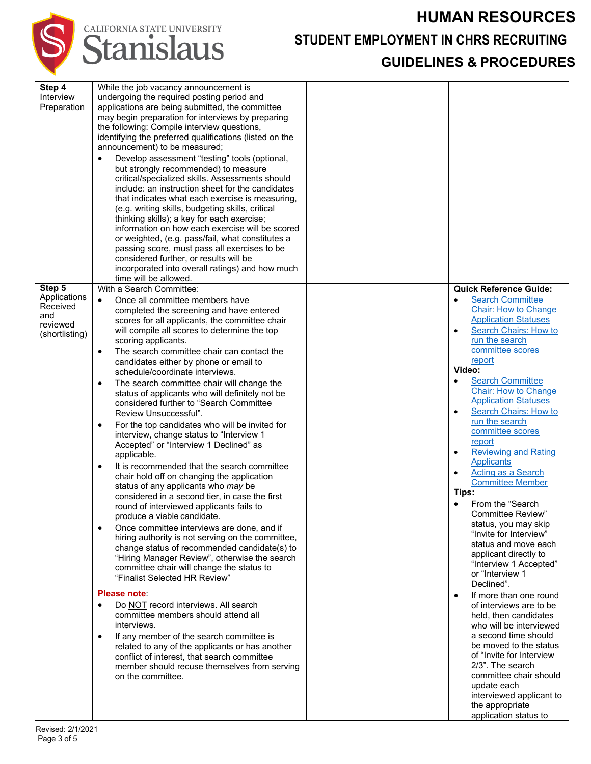#### **HUMAN RESOURCES**



**STUDENT EMPLOYMENT IN CHRS RECRUITING**

#### **GUIDELINES & PROCEDURES**

| Step 4<br>Interview<br>Preparation                                      | While the job vacancy announcement is<br>undergoing the required posting period and<br>applications are being submitted, the committee<br>may begin preparation for interviews by preparing<br>the following: Compile interview questions,<br>identifying the preferred qualifications (listed on the<br>announcement) to be measured;<br>Develop assessment "testing" tools (optional,<br>but strongly recommended) to measure<br>critical/specialized skills. Assessments should<br>include: an instruction sheet for the candidates<br>that indicates what each exercise is measuring,<br>(e.g. writing skills, budgeting skills, critical<br>thinking skills); a key for each exercise;<br>information on how each exercise will be scored<br>or weighted, (e.g. pass/fail, what constitutes a<br>passing score, must pass all exercises to be<br>considered further, or results will be<br>incorporated into overall ratings) and how much<br>time will be allowed.                                                                                                                                                                                                                                                                                                                                                                                                                                                                                                                                                                                                                                                                    |                                                                                                                                                                                                                                                                                                                                                                                                                                                                                                                                                                                                                                                                                                                                                                                                                                                                                                                                                                                                                                                                                                                                              |
|-------------------------------------------------------------------------|---------------------------------------------------------------------------------------------------------------------------------------------------------------------------------------------------------------------------------------------------------------------------------------------------------------------------------------------------------------------------------------------------------------------------------------------------------------------------------------------------------------------------------------------------------------------------------------------------------------------------------------------------------------------------------------------------------------------------------------------------------------------------------------------------------------------------------------------------------------------------------------------------------------------------------------------------------------------------------------------------------------------------------------------------------------------------------------------------------------------------------------------------------------------------------------------------------------------------------------------------------------------------------------------------------------------------------------------------------------------------------------------------------------------------------------------------------------------------------------------------------------------------------------------------------------------------------------------------------------------------------------------|----------------------------------------------------------------------------------------------------------------------------------------------------------------------------------------------------------------------------------------------------------------------------------------------------------------------------------------------------------------------------------------------------------------------------------------------------------------------------------------------------------------------------------------------------------------------------------------------------------------------------------------------------------------------------------------------------------------------------------------------------------------------------------------------------------------------------------------------------------------------------------------------------------------------------------------------------------------------------------------------------------------------------------------------------------------------------------------------------------------------------------------------|
| Step 5<br>Applications<br>Received<br>and<br>reviewed<br>(shortlisting) | With a Search Committee:<br>Once all committee members have<br>$\bullet$<br>completed the screening and have entered<br>scores for all applicants, the committee chair<br>will compile all scores to determine the top<br>scoring applicants.<br>The search committee chair can contact the<br>٠<br>candidates either by phone or email to<br>schedule/coordinate interviews.<br>The search committee chair will change the<br>٠<br>status of applicants who will definitely not be<br>considered further to "Search Committee<br>Review Unsuccessful".<br>For the top candidates who will be invited for<br>٠<br>interview, change status to "Interview 1<br>Accepted" or "Interview 1 Declined" as<br>applicable.<br>It is recommended that the search committee<br>٠<br>chair hold off on changing the application<br>status of any applicants who may be<br>considered in a second tier, in case the first<br>round of interviewed applicants fails to<br>produce a viable candidate.<br>Once committee interviews are done, and if<br>$\bullet$<br>hiring authority is not serving on the committee,<br>change status of recommended candidate(s) to<br>"Hiring Manager Review", otherwise the search<br>committee chair will change the status to<br>"Finalist Selected HR Review"<br>Please note:<br>Do NOT record interviews. All search<br>$\bullet$<br>committee members should attend all<br>interviews.<br>If any member of the search committee is<br>٠<br>related to any of the applicants or has another<br>conflict of interest, that search committee<br>member should recuse themselves from serving<br>on the committee. | <b>Quick Reference Guide:</b><br><b>Search Committee</b><br>$\bullet$<br><b>Chair: How to Change</b><br><b>Application Statuses</b><br>Search Chairs: How to<br>$\bullet$<br>run the search<br>committee scores<br>report<br>Video:<br><b>Search Committee</b><br>$\bullet$<br><b>Chair: How to Change</b><br><b>Application Statuses</b><br>Search Chairs: How to<br>$\bullet$<br>run the search<br>committee scores<br>report<br><b>Reviewing and Rating</b><br>$\bullet$<br><b>Applicants</b><br><b>Acting as a Search</b><br>$\bullet$<br><b>Committee Member</b><br>Tips:<br>From the "Search"<br>$\bullet$<br>Committee Review"<br>status, you may skip<br>"Invite for Interview"<br>status and move each<br>applicant directly to<br>"Interview 1 Accepted"<br>or "Interview 1<br>Declined".<br>If more than one round<br>$\bullet$<br>of interviews are to be<br>held, then candidates<br>who will be interviewed<br>a second time should<br>be moved to the status<br>of "Invite for Interview<br>2/3". The search<br>committee chair should<br>update each<br>interviewed applicant to<br>the appropriate<br>application status to |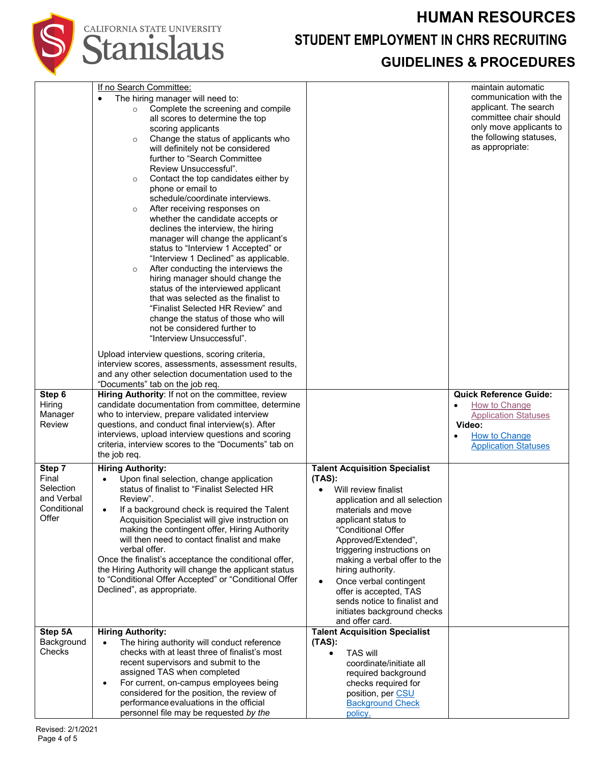# **HUMAN RESOURCES STUDENT EMPLOYMENT IN CHRS RECRUITING**

#### **GUIDELINES & PROCEDURES**

|                      | If no Search Committee:                                                                      |                                                         | maintain automatic            |
|----------------------|----------------------------------------------------------------------------------------------|---------------------------------------------------------|-------------------------------|
|                      | The hiring manager will need to:                                                             |                                                         | communication with the        |
|                      | Complete the screening and compile<br>$\circ$                                                |                                                         | applicant. The search         |
|                      | all scores to determine the top                                                              |                                                         | committee chair should        |
|                      | scoring applicants                                                                           |                                                         | only move applicants to       |
|                      | Change the status of applicants who<br>$\circ$                                               |                                                         | the following statuses,       |
|                      | will definitely not be considered                                                            |                                                         | as appropriate:               |
|                      | further to "Search Committee                                                                 |                                                         |                               |
|                      | Review Unsuccessful".                                                                        |                                                         |                               |
|                      | Contact the top candidates either by<br>$\circ$<br>phone or email to                         |                                                         |                               |
|                      | schedule/coordinate interviews.                                                              |                                                         |                               |
|                      | After receiving responses on<br>$\circ$                                                      |                                                         |                               |
|                      | whether the candidate accepts or                                                             |                                                         |                               |
|                      | declines the interview, the hiring                                                           |                                                         |                               |
|                      | manager will change the applicant's                                                          |                                                         |                               |
|                      | status to "Interview 1 Accepted" or                                                          |                                                         |                               |
|                      | "Interview 1 Declined" as applicable.                                                        |                                                         |                               |
|                      | After conducting the interviews the<br>$\circ$                                               |                                                         |                               |
|                      | hiring manager should change the                                                             |                                                         |                               |
|                      | status of the interviewed applicant                                                          |                                                         |                               |
|                      | that was selected as the finalist to                                                         |                                                         |                               |
|                      | "Finalist Selected HR Review" and                                                            |                                                         |                               |
|                      | change the status of those who will                                                          |                                                         |                               |
|                      | not be considered further to                                                                 |                                                         |                               |
|                      | "Interview Unsuccessful".                                                                    |                                                         |                               |
|                      | Upload interview questions, scoring criteria,                                                |                                                         |                               |
|                      | interview scores, assessments, assessment results,                                           |                                                         |                               |
|                      | and any other selection documentation used to the<br>"Documents" tab on the job req.         |                                                         |                               |
| Step 6               | Hiring Authority: If not on the committee, review                                            |                                                         | <b>Quick Reference Guide:</b> |
| Hiring               | candidate documentation from committee, determine                                            |                                                         | How to Change<br>$\bullet$    |
| Manager              | who to interview, prepare validated interview                                                |                                                         | <b>Application Statuses</b>   |
| <b>Review</b>        | questions, and conduct final interview(s). After                                             |                                                         | Video:                        |
|                      | interviews, upload interview questions and scoring                                           |                                                         | How to Change                 |
|                      | criteria, interview scores to the "Documents" tab on                                         |                                                         | <b>Application Statuses</b>   |
|                      | the job req.                                                                                 |                                                         |                               |
| Step 7               | <b>Hiring Authority:</b>                                                                     | <b>Talent Acquisition Specialist</b>                    |                               |
| Final                | Upon final selection, change application<br>$\bullet$                                        | $(TAS)$ :                                               |                               |
| Selection            | status of finalist to "Finalist Selected HR                                                  | Will review finalist                                    |                               |
| and Verbal           | Review".                                                                                     | application and all selection                           |                               |
| Conditional<br>Offer | If a background check is required the Talent<br>$\bullet$                                    | materials and move                                      |                               |
|                      | Acquisition Specialist will give instruction on                                              | applicant status to<br>"Conditional Offer               |                               |
|                      | making the contingent offer, Hiring Authority<br>will then need to contact finalist and make | Approved/Extended",                                     |                               |
|                      | verbal offer.                                                                                | triggering instructions on                              |                               |
|                      | Once the finalist's acceptance the conditional offer,                                        | making a verbal offer to the                            |                               |
|                      | the Hiring Authority will change the applicant status                                        | hiring authority.                                       |                               |
|                      | to "Conditional Offer Accepted" or "Conditional Offer                                        | Once verbal contingent<br>$\bullet$                     |                               |
|                      | Declined", as appropriate.                                                                   | offer is accepted, TAS                                  |                               |
|                      |                                                                                              | sends notice to finalist and                            |                               |
|                      |                                                                                              | initiates background checks                             |                               |
| Step 5A              | <b>Hiring Authority:</b>                                                                     | and offer card.<br><b>Talent Acquisition Specialist</b> |                               |
| Background           | The hiring authority will conduct reference<br>$\bullet$                                     | $(TAS)$ :                                               |                               |
| Checks               | checks with at least three of finalist's most                                                | <b>TAS will</b><br>$\bullet$                            |                               |
|                      | recent supervisors and submit to the                                                         | coordinate/initiate all                                 |                               |
|                      | assigned TAS when completed                                                                  | required background                                     |                               |
|                      | For current, on-campus employees being<br>$\bullet$                                          | checks required for                                     |                               |
|                      | considered for the position, the review of                                                   | position, per CSU                                       |                               |
|                      | performance evaluations in the official                                                      | <b>Background Check</b>                                 |                               |
|                      | personnel file may be requested by the                                                       | policy.                                                 |                               |

CALIFORNIA STATE UNIVERSITY